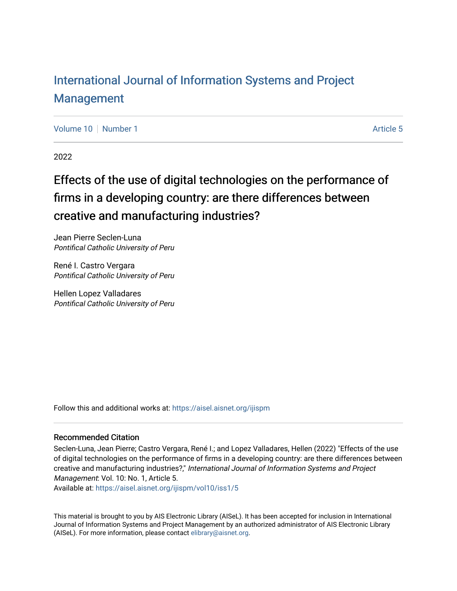# [International Journal of Information Systems and Project](https://aisel.aisnet.org/ijispm)  [Management](https://aisel.aisnet.org/ijispm)

[Volume 10](https://aisel.aisnet.org/ijispm/vol10) [Number 1](https://aisel.aisnet.org/ijispm/vol10/iss1) Article 5

2022

# Effects of the use of digital technologies on the performance of firms in a developing country: are there differences between creative and manufacturing industries?

Jean Pierre Seclen-Luna Pontifical Catholic University of Peru

René I. Castro Vergara Pontifical Catholic University of Peru

Hellen Lopez Valladares Pontifical Catholic University of Peru

Follow this and additional works at: https://aisel.aisnet.org/ijispm

# Recommended Citation

Seclen-Luna, Jean Pierre; Castro Vergara, René I.; and Lopez Valladares, Hellen (2022) "Effects of the use of digital technologies on the performance of firms in a developing country: are there differences between creative and manufacturing industries?," International Journal of Information Systems and Project Management: Vol. 10: No. 1, Article 5.

Available at: [https://aisel.aisnet.org/ijispm/vol10/iss1/5](https://aisel.aisnet.org/ijispm/vol10/iss1/5?utm_source=aisel.aisnet.org%2Fijispm%2Fvol10%2Fiss1%2F5&utm_medium=PDF&utm_campaign=PDFCoverPages) 

This material is brought to you by AIS Electronic Library (AISeL). It has been accepted for inclusion in International Journal of Information Systems and Project Management by an authorized administrator of AIS Electronic Library (AISeL). For more information, please contact [elibrary@aisnet.org](mailto:elibrary@aisnet.org%3E).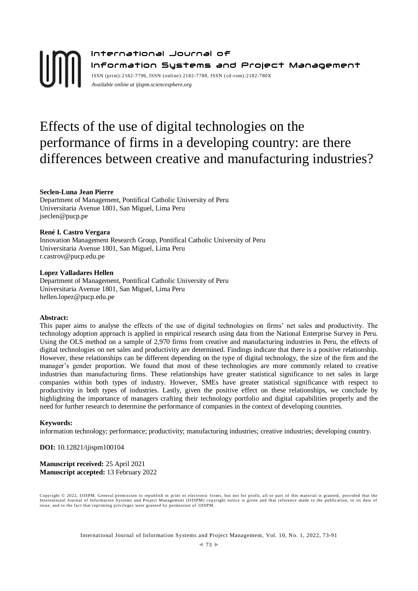# International Journal of Information Systems and Project Management ISSN (print):2182-7796, ISSN (online):2182-7788, ISSN ( cd-rom):2182-780X *Available online a[t ijispm.sciencesphere.org](http://www.sciencesphere.org/ijispm)*

# Effects of the use of digital technologies on the performance of firms in a developing country: are there differences between creative and manufacturing industries?

# **Seclen-Luna Jean Pierre**

Department of Management, Pontifical Catholic University of Peru Universitaria Avenue 1801, San Miguel, Lima Peru jseclen@pucp.pe

# **René I. Castro Vergara**

Innovation Management Research Group, Pontifical Catholic University of Peru Universitaria Avenue 1801, San Miguel, Lima Peru r.castrov@pucp.edu.pe

# **Lopez Valladares Hellen**

Department of Management, Pontifical Catholic University of Peru Universitaria Avenue 1801, San Miguel, Lima Peru hellen.lopez@pucp.edu.pe

# **Abstract:**

This paper aims to analyse the effects of the use of digital technologies on firms' net sales and productivity. The technology adoption approach is applied in empirical research using data from the National Enterprise Survey in Peru. Using the OLS method on a sample of 2,970 firms from creative and manufacturing industries in Peru, the effects of digital technologies on net sales and productivity are determined. Findings indicate that there is a positive relationship. However, these relationships can be different depending on the type of digital technology, the size of the firm and the manager's gender proportion. We found that most of these technologies are more commonly related to creative industries than manufacturing firms. These relationships have greater statistical significance to net sales in large companies within both types of industry. However, SMEs have greater statistical significance with respect to productivity in both types of industries. Lastly, given the positive effect on these relationships, we conclude by highlighting the importance of managers crafting their technology portfolio and digital capabilities properly and the need for further research to determine the performance of companies in the context of developing countries.

## **Keywords:**

information technology; performance; productivity; manufacturing industries; creative industries; developing country.

**DOI:** 10.12821/ijispm100104

**Manuscript received:** 25 April 2021 **Manuscript accepted:** 13 February 2022

Copyright © 2022, IJISPM. General permission to republish in print or electronic forms, but not for profit, all or part of this material is granted, provided that the International Journal of Information Systems and Project Management (IJISPM) copyright notice is given and that reference made to the publication, to its date of<br>issue, and to the fact that reprinting privileges were grant

International Journal of Information Systems and Project Management, Vol. 10, No. 1, 2022, 73-91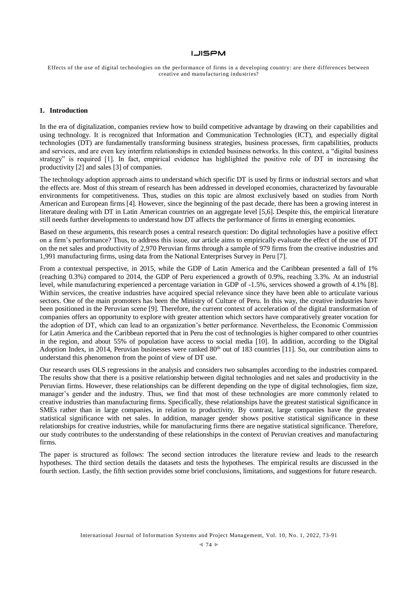Effects of the use of digital technologies on the performance of firms in a developing country: are there differences between creative and manufacturing industries?

#### **1. Introduction**

In the era of digitalization, companies review how to build competitive advantage by drawing on their capabilities and using technology. It is recognized that Information and Communication Technologies (ICT), and especially digital technologies (DT) are fundamentally transforming business strategies, business processes, firm capabilities, products and services, and are even key interfirm relationships in extended business networks. In this context, a "digital business strategy" is required [1]. In fact, empirical evidence has highlighted the positive role of DT in increasing the productivity [2] and sales [3] of companies.

The technology adoption approach aims to understand which specific DT is used by firms or industrial sectors and what the effects are. Most of this stream of research has been addressed in developed economies, characterized by favourable environments for competitiveness. Thus, studies on this topic are almost exclusively based on studies from North American and European firms [4]. However, since the beginning of the past decade, there has been a growing interest in literature dealing with DT in Latin American countries on an aggregate level [5,6]. Despite this, the empirical literature still needs further developments to understand how DT affects the performance of firms in emerging economies.

Based on these arguments, this research poses a central research question: Do digital technologies have a positive effect on a firm's performance? Thus, to address this issue, our article aims to empirically evaluate the effect of the use of DT on the net sales and productivity of 2,970 Peruvian firms through a sample of 979 firms from the creative industries and 1,991 manufacturing firms, using data from the National Enterprises Survey in Peru [7].

From a contextual perspective, in 2015, while the GDP of Latin America and the Caribbean presented a fall of 1% (reaching 0.3%) compared to 2014, the GDP of Peru experienced a growth of 0.9%, reaching 3.3%. At an industrial level, while manufacturing experienced a percentage variation in GDP of -1.5%, services showed a growth of 4.1% [8]. Within services, the creative industries have acquired special relevance since they have been able to articulate various sectors. One of the main promoters has been the Ministry of Culture of Peru. In this way, the creative industries have been positioned in the Peruvian scene [9]. Therefore, the current context of acceleration of the digital transformation of companies offers an opportunity to explore with greater attention which sectors have comparatively greater vocation for the adoption of DT, which can lead to an organization's better performance. Nevertheless, the Economic Commission for Latin America and the Caribbean reported that in Peru the cost of technologies is higher compared to other countries in the region, and about 55% of population have access to social media [10]. In addition, according to the Digital Adoption Index, in 2014, Peruvian businesses were ranked  $80<sup>th</sup>$  out of 183 countries [11]. So, our contribution aims to understand this phenomenon from the point of view of DT use.

Our research uses OLS regressions in the analysis and considers two subsamples according to the industries compared. The results show that there is a positive relationship between digital technologies and net sales and productivity in the Peruvian firms. However, these relationships can be different depending on the type of digital technologies, firm size, manager's gender and the industry. Thus, we find that most of these technologies are more commonly related to creative industries than manufacturing firms. Specifically, these relationships have the greatest statistical significance in SMEs rather than in large companies, in relation to productivity. By contrast, large companies have the greatest statistical significance with net sales. In addition, manager gender shows positive statistical significance in these relationships for creative industries, while for manufacturing firms there are negative statistical significance. Therefore, our study contributes to the understanding of these relationships in the context of Peruvian creatives and manufacturing firms.

The paper is structured as follows: The second section introduces the literature review and leads to the research hypotheses. The third section details the datasets and tests the hypotheses. The empirical results are discussed in the fourth section. Lastly, the fifth section provides some brief conclusions, limitations, and suggestions for future research.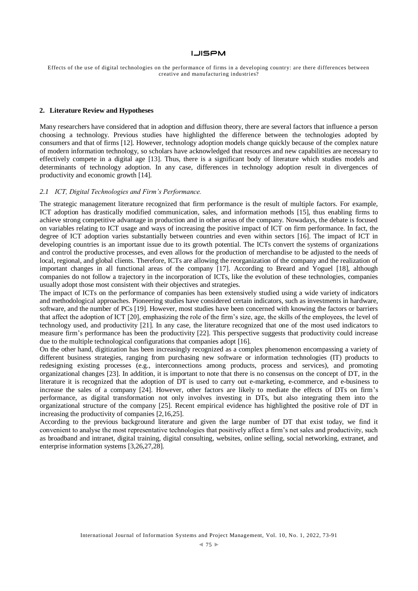Effects of the use of digital technologies on the performance of firms in a developing country: are there differences between creative and manufacturing industries?

#### **2. Literature Review and Hypotheses**

Many researchers have considered that in adoption and diffusion theory, there are several factors that influence a person choosing a technology. Previous studies have highlighted the difference between the technologies adopted by consumers and that of firms [12]. However, technology adoption models change quickly because of the complex nature of modern information technology, so scholars have acknowledged that resources and new capabilities are necessary to effectively compete in a digital age [13]. Thus, there is a significant body of literature which studies models and determinants of technology adoption. In any case, differences in technology adoption result in divergences of productivity and economic growth [14].

# *2.1 ICT, Digital Technologies and Firm's Performance.*

The strategic management literature recognized that firm performance is the result of multiple factors. For example, ICT adoption has drastically modified communication, sales, and information methods [15], thus enabling firms to achieve strong competitive advantage in production and in other areas of the company. Nowadays, the debate is focused on variables relating to ICT usage and ways of increasing the positive impact of ICT on firm performance. In fact, the degree of ICT adoption varies substantially between countries and even within sectors [16]. The impact of ICT in developing countries is an important issue due to its growth potential. The ICTs convert the systems of organizations and control the productive processes, and even allows for the production of merchandise to be adjusted to the needs of local, regional, and global clients. Therefore, ICTs are allowing the reorganization of the company and the realization of important changes in all functional areas of the company [17]. According to Breard and Yoguel [18], although companies do not follow a trajectory in the incorporation of ICTs, like the evolution of these technologies, companies usually adopt those most consistent with their objectives and strategies.

The impact of ICTs on the performance of companies has been extensively studied using a wide variety of indicators and methodological approaches. Pioneering studies have considered certain indicators, such as investments in hardware, software, and the number of PCs [19]. However, most studies have been concerned with knowing the factors or barriers that affect the adoption of ICT [20], emphasizing the role of the firm's size, age, the skills of the employees, the level of technology used, and productivity [21]. In any case, the literature recognized that one of the most used indicators to measure firm's performance has been the productivity [22]. This perspective suggests that productivity could increase due to the multiple technological configurations that companies adopt [16].

On the other hand, digitization has been increasingly recognized as a complex phenomenon encompassing a variety of different business strategies, ranging from purchasing new software or information technologies (IT) products to redesigning existing processes (e.g., interconnections among products, process and services), and promoting organizational changes [23]. In addition, it is important to note that there is no consensus on the concept of DT, in the literature it is recognized that the adoption of DT is used to carry out e-marketing, e-commerce, and e-business to increase the sales of a company [24]. However, other factors are likely to mediate the effects of DTs on firm's performance, as digital transformation not only involves investing in DTs, but also integrating them into the organizational structure of the company [25]. Recent empirical evidence has highlighted the positive role of DT in increasing the productivity of companies [2,16,25].

According to the previous background literature and given the large number of DT that exist today, we find it convenient to analyse the most representative technologies that positively affect a firm's net sales and productivity, such as broadband and intranet, digital training, digital consulting, websites, online selling, social networking, extranet, and enterprise information systems [3,26,27,28].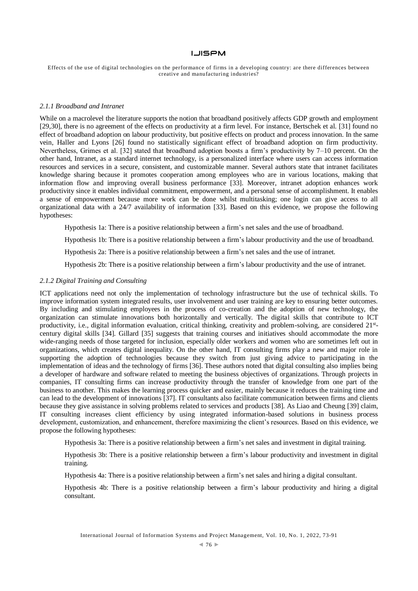Effects of the use of digital technologies on the performance of firms in a developing country: are there differences between creative and manufacturing industries?

#### *2.1.1 Broadband and Intranet*

While on a macrolevel the literature supports the notion that broadband positively affects GDP growth and employment [29,30], there is no agreement of the effects on productivity at a firm level. For instance, Bertschek et al. [31] found no effect of broadband adoption on labour productivity, but positive effects on product and process innovation. In the same vein, Haller and Lyons [26] found no statistically significant effect of broadband adoption on firm productivity. Nevertheless, Grimes et al. [32] stated that broadband adoption boosts a firm's productivity by 7–10 percent. On the other hand, Intranet, as a standard internet technology, is a personalized interface where users can access information resources and services in a secure, consistent, and customizable manner. Several authors state that intranet facilitates knowledge sharing because it promotes cooperation among employees who are in various locations, making that information flow and improving overall business performance [33]. Moreover, intranet adoption enhances work productivity since it enables individual commitment, empowerment, and a personal sense of accomplishment. It enables a sense of empowerment because more work can be done whilst multitasking; one login can give access to all organizational data with a 24/7 availability of information [33]. Based on this evidence, we propose the following hypotheses:

Hypothesis 1a: There is a positive relationship between a firm's net sales and the use of broadband.

Hypothesis 1b: There is a positive relationship between a firm's labour productivity and the use of broadband.

Hypothesis 2a: There is a positive relationship between a firm's net sales and the use of intranet.

Hypothesis 2b: There is a positive relationship between a firm's labour productivity and the use of intranet.

# *2.1.2 Digital Training and Consulting*

ICT applications need not only the implementation of technology infrastructure but the use of technical skills. To improve information system integrated results, user involvement and user training are key to ensuring better outcomes. By including and stimulating employees in the process of co-creation and the adoption of new technology, the organization can stimulate innovations both horizontally and vertically. The digital skills that contribute to ICT productivity, i.e., digital information evaluation, critical thinking, creativity and problem-solving, are considered  $21<sup>st</sup>$ century digital skills [34]. Gillard [35] suggests that training courses and initiatives should accommodate the more wide-ranging needs of those targeted for inclusion, especially older workers and women who are sometimes left out in organizations, which creates digital inequality. On the other hand, IT consulting firms play a new and major role in supporting the adoption of technologies because they switch from just giving advice to participating in the implementation of ideas and the technology of firms [36]. These authors noted that digital consulting also implies being a developer of hardware and software related to meeting the business objectives of organizations. Through projects in companies, IT consulting firms can increase productivity through the transfer of knowledge from one part of the business to another. This makes the learning process quicker and easier, mainly because it reduces the training time and can lead to the development of innovations [37]. IT consultants also facilitate communication between firms and clients because they give assistance in solving problems related to services and products [38]. As Liao and Cheung [39] claim, IT consulting increases client efficiency by using integrated information-based solutions in business process development, customization, and enhancement, therefore maximizing the client's resources. Based on this evidence, we propose the following hypotheses:

Hypothesis 3a: There is a positive relationship between a firm's net sales and investment in digital training.

Hypothesis 3b: There is a positive relationship between a firm's labour productivity and investment in digital training.

Hypothesis 4a: There is a positive relationship between a firm's net sales and hiring a digital consultant.

Hypothesis 4b: There is a positive relationship between a firm's labour productivity and hiring a digital consultant.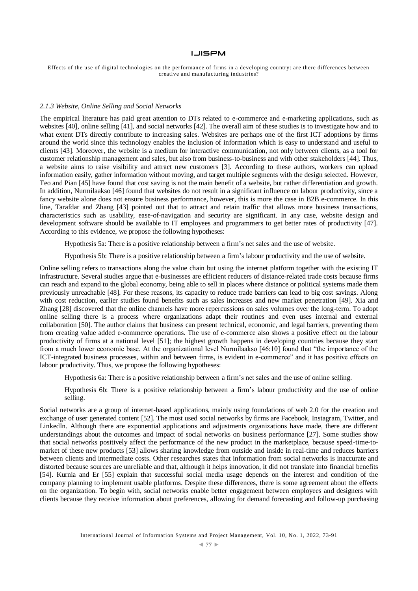Effects of the use of digital technologies on the performance of firms in a developing country: are there differences between creative and manufacturing industries?

#### *2.1.3 Website, Online Selling and Social Networks*

The empirical literature has paid great attention to DTs related to e-commerce and e-marketing applications, such as websites [40], online selling [41], and social networks [42]. The overall aim of these studies is to investigate how and to what extent DTs directly contribute to increasing sales. Websites are perhaps one of the first ICT adoptions by firms around the world since this technology enables the inclusion of information which is easy to understand and useful to clients [43]. Moreover, the website is a medium for interactive communication, not only between clients, as a tool for customer relationship management and sales, but also from business-to-business and with other stakeholders [44]. Thus, a website aims to raise visibility and attract new customers [3]. According to these authors, workers can upload information easily, gather information without moving, and target multiple segments with the design selected. However, Teo and Pian [45] have found that cost saving is not the main benefit of a website, but rather differentiation and growth. In addition, Nurmilaakso [46] found that websites do not result in a significant influence on labour productivity, since a fancy website alone does not ensure business performance, however, this is more the case in B2B e-commerce. In this line, Tarafdar and Zhang [43] pointed out that to attract and retain traffic that allows more business transactions, characteristics such as usability, ease-of-navigation and security are significant. In any case, website design and development software should be available to IT employees and programmers to get better rates of productivity [47]. According to this evidence, we propose the following hypotheses:

Hypothesis 5a: There is a positive relationship between a firm's net sales and the use of website.

Hypothesis 5b: There is a positive relationship between a firm's labour productivity and the use of website.

Online selling refers to transactions along the value chain but using the internet platform together with the existing IT infrastructure. Several studies argue that e-businesses are efficient reducers of distance-related trade costs because firms can reach and expand to the global economy, being able to sell in places where distance or political systems made them previously unreachable [48]. For these reasons, its capacity to reduce trade barriers can lead to big cost savings. Along with cost reduction, earlier studies found benefits such as sales increases and new market penetration [49]. Xia and Zhang [28] discovered that the online channels have more repercussions on sales volumes over the long-term. To adopt online selling there is a process where organizations adapt their routines and even uses internal and external collaboration [50]. The author claims that business can present technical, economic, and legal barriers, preventing them from creating value added e-commerce operations. The use of e-commerce also shows a positive effect on the labour productivity of firms at a national level [51]; the highest growth happens in developing countries because they start from a much lower economic base. At the organizational level Nurmilaakso [46:10] found that "the importance of the ICT-integrated business processes, within and between firms, is evident in e-commerce" and it has positive effects on labour productivity. Thus, we propose the following hypotheses:

Hypothesis 6a: There is a positive relationship between a firm's net sales and the use of online selling.

Hypothesis 6b: There is a positive relationship between a firm's labour productivity and the use of online selling.

Social networks are a group of internet-based applications, mainly using foundations of web 2.0 for the creation and exchange of user generated content [52]. The most used social networks by firms are Facebook, Instagram, Twitter, and LinkedIn. Although there are exponential applications and adjustments organizations have made, there are different understandings about the outcomes and impact of social networks on business performance [27]. Some studies show that social networks positively affect the performance of the new product in the marketplace, because speed-time-tomarket of these new products [53] allows sharing knowledge from outside and inside in real-time and reduces barriers between clients and intermediate costs. Other researches states that information from social networks is inaccurate and distorted because sources are unreliable and that, although it helps innovation, it did not translate into financial benefits [54]. Kurnia and Er [55] explain that successful social media usage depends on the interest and condition of the company planning to implement usable platforms. Despite these differences, there is some agreement about the effects on the organization. To begin with, social networks enable better engagement between employees and designers with clients because they receive information about preferences, allowing for demand forecasting and follow-up purchasing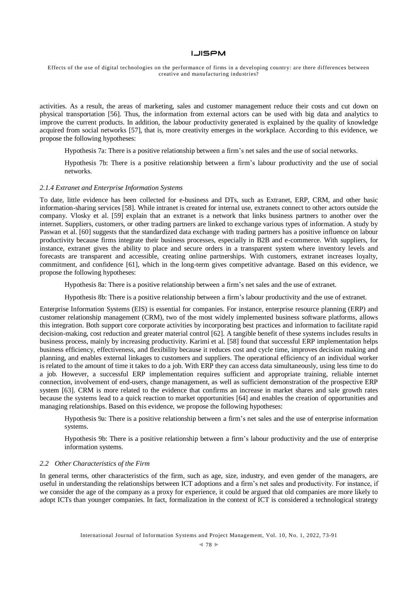Effects of the use of digital technologies on the performance of firms in a developing country: are there differences between creative and manufacturing industries?

activities. As a result, the areas of marketing, sales and customer management reduce their costs and cut down on physical transportation [56]. Thus, the information from external actors can be used with big data and analytics to improve the current products. In addition, the labour productivity generated is explained by the quality of knowledge acquired from social networks [57], that is, more creativity emerges in the workplace. According to this evidence, we propose the following hypotheses:

Hypothesis 7a: There is a positive relationship between a firm's net sales and the use of social networks.

Hypothesis 7b: There is a positive relationship between a firm's labour productivity and the use of social networks.

# *2.1.4 Extranet and Enterprise Information Systems*

To date, little evidence has been collected for e-business and DTs, such as Extranet, ERP, CRM, and other basic information-sharing services [58]. While intranet is created for internal use, extranets connect to other actors outside the company. Vlosky et al. [59] explain that an extranet is a network that links business partners to another over the internet. Suppliers, customers, or other trading partners are linked to exchange various types of information. A study by Paswan et al. [60] suggests that the standardized data exchange with trading partners has a positive influence on labour productivity because firms integrate their business processes, especially in B2B and e-commerce. With suppliers, for instance, extranet gives the ability to place and secure orders in a transparent system where inventory levels and forecasts are transparent and accessible, creating online partnerships. With customers, extranet increases loyalty, commitment, and confidence [61], which in the long-term gives competitive advantage. Based on this evidence, we propose the following hypotheses:

Hypothesis 8a: There is a positive relationship between a firm's net sales and the use of extranet.

Hypothesis 8b: There is a positive relationship between a firm's labour productivity and the use of extranet.

Enterprise Information Systems (EIS) is essential for companies. For instance, enterprise resource planning (ERP) and customer relationship management (CRM), two of the most widely implemented business software platforms, allows this integration. Both support core corporate activities by incorporating best practices and information to facilitate rapid decision-making, cost reduction and greater material control [62]. A tangible benefit of these systems includes results in business process, mainly by increasing productivity. Karimi et al. [58] found that successful ERP implementation helps business efficiency, effectiveness, and flexibility because it reduces cost and cycle time, improves decision making and planning, and enables external linkages to customers and suppliers. The operational efficiency of an individual worker is related to the amount of time it takes to do a job. With ERP they can access data simultaneously, using less time to do a job. However, a successful ERP implementation requires sufficient and appropriate training, reliable internet connection, involvement of end-users, change management, as well as sufficient demonstration of the prospective ERP system [63]. CRM is more related to the evidence that confirms an increase in market shares and sale growth rates because the systems lead to a quick reaction to market opportunities [64] and enables the creation of opportunities and managing relationships. Based on this evidence, we propose the following hypotheses:

Hypothesis 9a: There is a positive relationship between a firm's net sales and the use of enterprise information systems.

Hypothesis 9b: There is a positive relationship between a firm's labour productivity and the use of enterprise information systems.

#### *2.2 Other Characteristics of the Firm*

In general terms, other characteristics of the firm, such as age, size, industry, and even gender of the managers, are useful in understanding the relationships between ICT adoptions and a firm's net sales and productivity. For instance, if we consider the age of the company as a proxy for experience, it could be argued that old companies are more likely to adopt ICTs than younger companies. In fact, formalization in the context of ICT is considered a technological strategy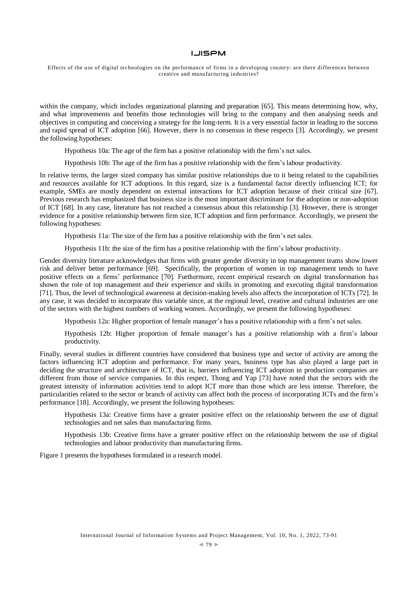Effects of the use of digital technologies on the performance of firms in a developing country: are there differences between creative and manufacturing industries?

within the company, which includes organizational planning and preparation [65]. This means determining how, why, and what improvements and benefits those technologies will bring to the company and then analysing needs and objectives in computing and conceiving a strategy for the long-term. It is a very essential factor in leading to the success and rapid spread of ICT adoption [66]. However, there is no consensus in these respects [3]. Accordingly, we present the following hypotheses:

Hypothesis 10a: The age of the firm has a positive relationship with the firm's net sales.

Hypothesis 10b: The age of the firm has a positive relationship with the firm's labour productivity.

In relative terms, the larger sized company has similar positive relationships due to it being related to the capabilities and resources available for ICT adoptions. In this regard, size is a fundamental factor directly influencing ICT; for example, SMEs are mostly dependent on external interactions for ICT adoption because of their critical size [67]. Previous research has emphasized that business size is the most important discriminant for the adoption or non-adoption of ICT [68]. In any case, literature has not reached a consensus about this relationship [3]. However, there is stronger evidence for a positive relationship between firm size, ICT adoption and firm performance. Accordingly, we present the following hypotheses:

Hypothesis 11a: The size of the firm has a positive relationship with the firm's net sales.

Hypothesis 11b: the size of the firm has a positive relationship with the firm's labour productivity.

Gender diversity literature acknowledges that firms with greater gender diversity in top management teams show lower risk and deliver better performance [69]. Specifically, the proportion of women in top management tends to have positive effects on a firms' performance [70]. Furthermore, recent empirical research on digital transformation has shown the role of top management and their experience and skills in promoting and executing digital transformation [71]. Thus, the level of technological awareness at decision-making levels also affects the incorporation of ICTs [72]. In any case, it was decided to incorporate this variable since, at the regional level, creative and cultural industries are one of the sectors with the highest numbers of working women. Accordingly, we present the following hypotheses:

Hypothesis 12a: Higher proportion of female manager's has a positive relationship with a firm's net sales.

Hypothesis 12b: Higher proportion of female manager's has a positive relationship with a firm's labour productivity.

Finally, several studies in different countries have considered that business type and sector of activity are among the factors influencing ICT adoption and performance. For many years, business type has also played a large part in deciding the structure and architecture of ICT, that is, barriers influencing ICT adoption in production companies are different from those of service companies. In this respect, Thong and Yap [73] have noted that the sectors with the greatest intensity of information activities tend to adopt ICT more than those which are less intense. Therefore, the particularities related to the sector or branch of activity can affect both the process of incorporating ICTs and the firm's performance [18]. Accordingly, we present the following hypotheses:

Hypothesis 13a: Creative firms have a greater positive effect on the relationship between the use of digital technologies and net sales than manufacturing firms.

Hypothesis 13b: Creative firms have a greater positive effect on the relationship between the use of digital technologies and labour productivity than manufacturing firms.

Figure 1 presents the hypotheses formulated in a research model.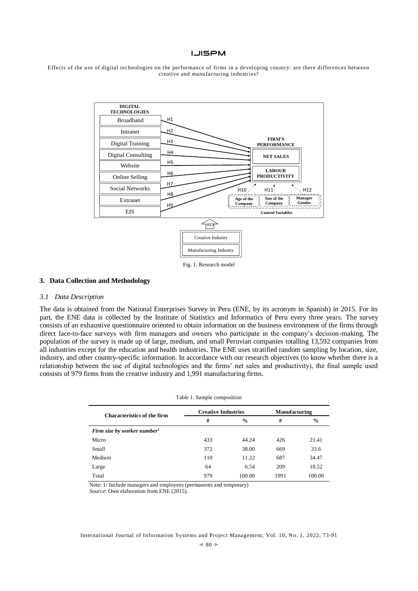



Fig. 1. Research model

# **3. Data Collection and Methodology**

#### *3.1 Data Description*

The data is obtained from the National Enterprises Survey in Peru (ENE, by its acronym in Spanish) in 2015. For its part, the ENE data is collected by the Institute of Statistics and Informatics of Peru every three years. The survey consists of an exhaustive questionnaire oriented to obtain information on the business environment of the firms through direct face-to-face surveys with firm managers and owners who participate in the company's decision-making. The population of the survey is made up of large, medium, and small Peruvian companies totalling 13,592 companies from all industries except for the education and health industries. The ENE uses stratified random sampling by location, size, industry, and other country-specific information. In accordance with our research objectives (to know whether there is a relationship between the use of digital technologies and the firms' net sales and productivity), the final sample used consists of 979 firms from the creative industry and 1,991 manufacturing firms.

| Table 1. Sample composition             |                            |               |                      |               |  |  |
|-----------------------------------------|----------------------------|---------------|----------------------|---------------|--|--|
| <b>Characteristics of the firm</b>      | <b>Creative Industries</b> |               | <b>Manufacturing</b> |               |  |  |
|                                         | #                          | $\frac{0}{0}$ | #                    | $\frac{0}{0}$ |  |  |
| Firm size by worker number <sup>1</sup> |                            |               |                      |               |  |  |
| Micro                                   | 433                        | 44.24         | 426                  | 21.41         |  |  |
| Small                                   | 372                        | 38.00         | 669                  | 33.6          |  |  |
| Medium                                  | 110                        | 11.22         | 687                  | 34.47         |  |  |
| Large                                   | 64                         | 6.54          | 209                  | 10.52         |  |  |
| Total                                   | 979                        | 100.00        | 1991                 | 100.00        |  |  |

Note: 1/ Include managers and employees (permanents and temporary)

*Source*: Own elaboration from ENE (2015).

International Journal of Information Systems and Project Management, Vol. 10, No. 1, 2022, 73-91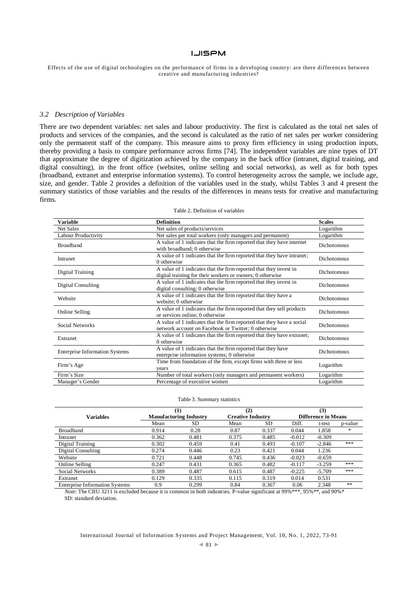Effects of the use of digital technologies on the performance of firms in a developing country: are there differences between creative and manufacturing industries?

# *3.2 Description of Variables*

There are two dependent variables: net sales and labour productivity. The first is calculated as the total net sales of products and services of the companies, and the second is calculated as the ratio of net sales per worker considering only the permanent staff of the company. This measure aims to proxy firm efficiency in using production inputs, thereby providing a basis to compare performance across firms [74]. The independent variables are nine types of DT that approximate the degree of digitization achieved by the company in the back office (intranet, digital training, and digital consulting), in the front office (websites, online selling and social networks), as well as for both types (broadband, extranet and enterprise information systems). To control heterogeneity across the sample, we include age, size, and gender. Table 2 provides a definition of the variables used in the study, whilst Tables 3 and 4 present the summary statistics of those variables and the results of the differences in means tests for creative and manufacturing firms.

| <b>Variable</b>                                                                          | <b>Definition</b>                                                                                                              | <b>Scales</b>      |
|------------------------------------------------------------------------------------------|--------------------------------------------------------------------------------------------------------------------------------|--------------------|
| Net Sales                                                                                | Net sales of products/services                                                                                                 | Logarithm          |
| Labour Productivity                                                                      | Net sales per total workers (only managers and permanent)                                                                      | Logarithm          |
| <b>Broadband</b>                                                                         | A value of 1 indicates that the firm reported that they have internet<br>with broadband; 0 otherwise                           | <b>Dichotomous</b> |
| Intranet                                                                                 | A value of 1 indicates that the firm reported that they have intranet;<br>0 otherwise                                          | Dichotomous        |
| Digital Training                                                                         | A value of 1 indicates that the firm reported that they invest in<br>digital training for their workers or owners; 0 otherwise | Dichotomous        |
| Digital Consulting                                                                       | A value of 1 indicates that the firm reported that they invest in<br>digital consulting; 0 otherwise                           | Dichotomous        |
| Website                                                                                  | A value of 1 indicates that the firm reported that they have a<br>website; 0 otherwise                                         | <b>Dichotomous</b> |
| Online Selling                                                                           | A value of 1 indicates that the firm reported that they sell products<br>or services online: 0 otherwise                       | <b>Dichotomous</b> |
| Social Networks                                                                          | A value of 1 indicates that the firm reported that they have a social<br>network account on Facebook or Twitter; 0 otherwise   | <b>Dichotomous</b> |
| Extranet                                                                                 | A value of 1 indicates that the firm reported that they have extranet;<br>0 otherwise                                          | Dichotomous        |
| <b>Enterprise Information Systems</b>                                                    | A value of 1 indicates that the firm reported that they have<br>enterprise information systems; 0 otherwise                    | <b>Dichotomous</b> |
| Time from foundation of the firm, except firms with three or less<br>Firm's Age<br>years |                                                                                                                                | Logarithm          |
| Firm's Size                                                                              | Number of total workers (only managers and permanent workers)                                                                  | Logarithm          |
| Manager's Gender                                                                         | Percentage of executive women                                                                                                  | Logarithm          |

#### Table 2. Definition of variables

#### Table 3. Summary statistics

|                                       |                               | $\bf(1)$ | (2)                      |       |                            | (3)      |         |
|---------------------------------------|-------------------------------|----------|--------------------------|-------|----------------------------|----------|---------|
| <b>Variables</b>                      | <b>Manufacturing Industry</b> |          | <b>Creative Industry</b> |       | <b>Difference in Means</b> |          |         |
|                                       | Mean                          | SD       | Mean                     | SD.   | Diff.                      | t-test   | p-value |
| <b>Broadband</b>                      | 0.914                         | 0.28     | 0.87                     | 0.337 | 0.044                      | 1.858    | *       |
| Intranet                              | 0.362                         | 0.481    | 0.375                    | 0.485 | $-0.012$                   | $-0.309$ |         |
| Digital Training                      | 0.302                         | 0.459    | 0.41                     | 0.493 | $-0.107$                   | $-2.846$ | ***     |
| Digital Consulting                    | 0.274                         | 0.446    | 0.23                     | 0.421 | 0.044                      | 1.236    |         |
| Website                               | 0.721                         | 0.448    | 0.745                    | 0.436 | $-0.023$                   | $-0.659$ |         |
| Online Selling                        | 0.247                         | 0.431    | 0.365                    | 0.482 | $-0.117$                   | $-3.259$ | ***     |
| Social Networks                       | 0.389                         | 0.487    | 0.615                    | 0.487 | $-0.225$                   | $-5.709$ | ***     |
| Extranet                              | 0.129                         | 0.335    | 0.115                    | 0.319 | 0.014                      | 0.531    |         |
| <b>Enterprise Information Systems</b> | 0.9                           | 0.299    | 0.84                     | 0.367 | 0.06                       | 2.348    | **      |

*Note*: The CIIU 3211 is excluded because it is common in both industries. P-value significant at 99%\*\*\*, 95%\*\*, and 90%\* SD: standard deviation.

International Journal of Information Systems and Project Management, Vol. 10, No. 1, 2022, 73-91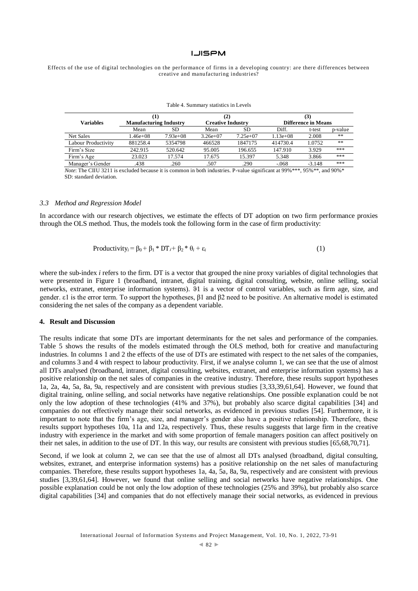Effects of the use of digital technologies on the performance of firms in a developing country: are there differences between creative and manufacturing industries?

|                     |                               |            | (2)                      |            |                            |          |         |
|---------------------|-------------------------------|------------|--------------------------|------------|----------------------------|----------|---------|
| <b>Variables</b>    | <b>Manufacturing Industry</b> |            | <b>Creative Industry</b> |            | <b>Difference in Means</b> |          |         |
|                     | Mean                          | SD.        | Mean                     | SD         | Diff.                      | t-test   | p-value |
| Net Sales           | $1.46e + 08$                  | $7.93e+08$ | $3.26e+07$               | $7.25e+07$ | $1.13e+08$                 | 2.008    | **      |
| Labour Productivity | 881258.4                      | 5354798    | 466528                   | 1847175    | 414730.4                   | 1.0752   | **      |
| Firm's Size         | 242.915                       | 520.642    | 95.005                   | 196.655    | 147.910                    | 3.929    | ***     |
| Firm's Age          | 23.023                        | 17.574     | 17.675                   | 15.397     | 5.348                      | 3.866    | ***     |
| Manager's Gender    | .438                          | .260       | .507                     | .290       | $-.068$                    | $-3.148$ | ***     |

Table 4. Summary statistics in Levels

*Note*: The CIIU 3211 is excluded because it is common in both industries. P-value significant at 99%\*\*\*, 95%\*\*, and 90%\* SD: standard deviation.

# *3.3 Method and Regression Model*

In accordance with our research objectives, we estimate the effects of DT adoption on two firm performance proxies through the OLS method. Thus, the models took the following form in the case of firm productivity:

$$
Productivity_i = \beta_0 + \beta_1 * DT_i + \beta_2 * \theta_i + \varepsilon_i
$$
\n(1)

where the sub-index *i* refers to the firm. DT is a vector that grouped the nine proxy variables of digital technologies that were presented in Figure 1 (broadband, intranet, digital training, digital consulting, website, online selling, social networks, extranet, enterprise information systems). ϑ1 is a vector of control variables, such as firm age, size, and gender. ε1 is the error term. To support the hypotheses,  $β1$  and  $β2$  need to be positive. An alternative model is estimated considering the net sales of the company as a dependent variable.

# **4. Result and Discussion**

The results indicate that some DTs are important determinants for the net sales and performance of the companies. Table 5 shows the results of the models estimated through the OLS method, both for creative and manufacturing industries. In columns 1 and 2 the effects of the use of DTs are estimated with respect to the net sales of the companies, and columns 3 and 4 with respect to labour productivity. First, if we analyse column 1, we can see that the use of almost all DTs analysed (broadband, intranet, digital consulting, websites, extranet, and enterprise information systems) has a positive relationship on the net sales of companies in the creative industry. Therefore, these results support hypotheses 1a, 2a, 4a, 5a, 8a, 9a, respectively and are consistent with previous studies [3,33,39,61,64]. However, we found that digital training, online selling, and social networks have negative relationships. One possible explanation could be not only the low adoption of these technologies (41% and 37%), but probably also scarce digital capabilities [34] and companies do not effectively manage their social networks, as evidenced in previous studies [54]. Furthermore, it is important to note that the firm's age, size, and manager's gender also have a positive relationship. Therefore, these results support hypotheses 10a, 11a and 12a, respectively. Thus, these results suggests that large firm in the creative industry with experience in the market and with some proportion of female managers position can affect positively on their net sales, in addition to the use of DT. In this way, our results are consistent with previous studies [65,68,70,71].

Second, if we look at column 2, we can see that the use of almost all DTs analysed (broadband, digital consulting, websites, extranet, and enterprise information systems) has a positive relationship on the net sales of manufacturing companies. Therefore, these results support hypotheses 1a, 4a, 5a, 8a, 9a, respectively and are consistent with previous studies [3,39,61,64]. However, we found that online selling and social networks have negative relationships. One possible explanation could be not only the low adoption of these technologies (25% and 39%), but probably also scarce digital capabilities [34] and companies that do not effectively manage their social networks, as evidenced in previous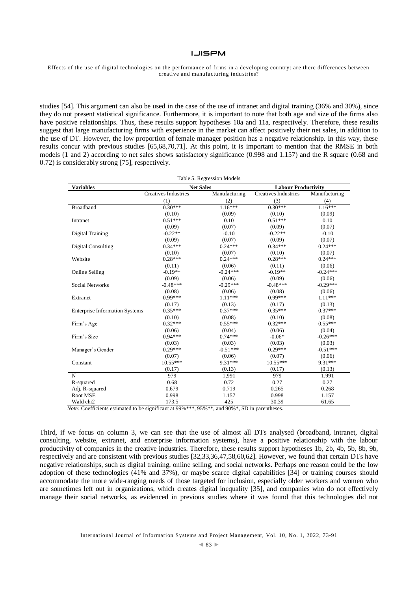Effects of the use of digital technologies on the performance of firms in a developing country: are there differences between creative and manufacturing industries?

studies [54]. This argument can also be used in the case of the use of intranet and digital training (36% and 30%), since they do not present statistical significance. Furthermore, it is important to note that both age and size of the firms also have positive relationships. Thus, these results support hypotheses 10a and 11a, respectively. Therefore, these results suggest that large manufacturing firms with experience in the market can affect positively their net sales, in addition to the use of DT. However, the low proportion of female manager position has a negative relationship. In this way, these results concur with previous studies [65,68,70,71]. At this point, it is important to mention that the RMSE in both models (1 and 2) according to net sales shows satisfactory significance (0.998 and 1.157) and the R square (0.68 and 0.72) is considerably strong [75], respectively.

| Table 5. Regression Models            |                             |                  |                             |               |  |  |
|---------------------------------------|-----------------------------|------------------|-----------------------------|---------------|--|--|
| <b>Variables</b>                      |                             | <b>Net Sales</b> | <b>Labour Productivity</b>  |               |  |  |
|                                       | <b>Creatives Industries</b> | Manufacturing    | <b>Creatives Industries</b> | Manufacturing |  |  |
|                                       | (1)                         | (2)              | (3)                         | (4)           |  |  |
| <b>Broadband</b>                      | $0.30***$                   | $1.16***$        | $0.30***$                   | $1.16***$     |  |  |
|                                       | (0.10)                      | (0.09)           | (0.10)                      | (0.09)        |  |  |
| Intranet                              | $0.51***$                   | 0.10             | $0.51***$                   | 0.10          |  |  |
|                                       | (0.09)                      | (0.07)           | (0.09)                      | (0.07)        |  |  |
| Digital Training                      | $-0.22**$                   | $-0.10$          | $-0.22**$                   | $-0.10$       |  |  |
|                                       | (0.09)                      | (0.07)           | (0.09)                      | (0.07)        |  |  |
| <b>Digital Consulting</b>             | $0.34***$                   | $0.24***$        | $0.34***$                   | $0.24***$     |  |  |
|                                       | (0.10)                      | (0.07)           | (0.10)                      | (0.07)        |  |  |
| Website                               | $0.28***$                   | $0.24***$        | $0.28***$                   | $0.24***$     |  |  |
|                                       | (0.11)                      | (0.06)           | (0.11)                      | (0.06)        |  |  |
| Online Selling                        | $-0.19**$                   | $-0.24***$       | $-0.19**$                   | $-0.24***$    |  |  |
|                                       | (0.09)                      | (0.06)           | (0.09)                      | (0.06)        |  |  |
| Social Networks                       | $-0.48***$                  | $-0.29***$       | $-0.48***$                  | $-0.29***$    |  |  |
|                                       | (0.08)                      | (0.06)           | (0.08)                      | (0.06)        |  |  |
| Extranet                              | $0.99***$                   | $1.11***$        | $0.99***$                   | $1.11***$     |  |  |
|                                       | (0.17)                      | (0.13)           | (0.17)                      | (0.13)        |  |  |
| <b>Enterprise Information Systems</b> | $0.35***$                   | $0.37***$        | $0.35***$                   | $0.37***$     |  |  |
|                                       | (0.10)                      | (0.08)           | (0.10)                      | (0.08)        |  |  |
| Firm's Age                            | $0.32***$                   | $0.55***$        | $0.32***$                   | $0.55***$     |  |  |
|                                       | (0.06)                      | (0.04)           | (0.06)                      | (0.04)        |  |  |
| Firm's Size                           | $0.94***$                   | $0.74***$        | $-0.06*$                    | $-0.26***$    |  |  |
|                                       | (0.03)                      | (0.03)           | (0.03)                      | (0.03)        |  |  |
| Manager's Gender                      | $0.29***$                   | $-0.51***$       | $0.29***$                   | $-0.51***$    |  |  |
|                                       | (0.07)                      | (0.06)           | (0.07)                      | (0.06)        |  |  |
| Constant                              | $10.55***$                  | 9.31 ***         | $10.55***$                  | 9.31 ***      |  |  |
|                                       | (0.17)                      | (0.13)           | (0.17)                      | (0.13)        |  |  |
| N                                     | 979                         | 1,991            | 979                         | 1,991         |  |  |
| R-squared                             | 0.68                        | 0.72             | 0.27                        | 0.27          |  |  |
| Adj. R-squared                        | 0.679                       | 0.719            | 0.265                       | 0.268         |  |  |
| Root MSE                              | 0.998                       | 1.157            | 0.998                       | 1.157         |  |  |
| Wald chi2                             | 173.5                       | 425              | 30.39                       | 61.65         |  |  |

*Note:* Coefficients estimated to be significant at 99%\*\*\*, 95%\*\*, and 90%\*, SD in parentheses.

Third, if we focus on column 3, we can see that the use of almost all DTs analysed (broadband, intranet, digital consulting, website, extranet, and enterprise information systems), have a positive relationship with the labour productivity of companies in the creative industries. Therefore, these results support hypotheses 1b, 2b, 4b, 5b, 8b, 9b, respectively and are consistent with previous studies [32,33,36,47,58,60,62]. However, we found that certain DTs have negative relationships, such as digital training, online selling, and social networks. Perhaps one reason could be the low adoption of these technologies (41% and 37%), or maybe scarce digital capabilities [34] or training courses should accommodate the more wide-ranging needs of those targeted for inclusion, especially older workers and women who are sometimes left out in organizations, which creates digital inequality [35], and companies who do not effectively manage their social networks, as evidenced in previous studies where it was found that this technologies did not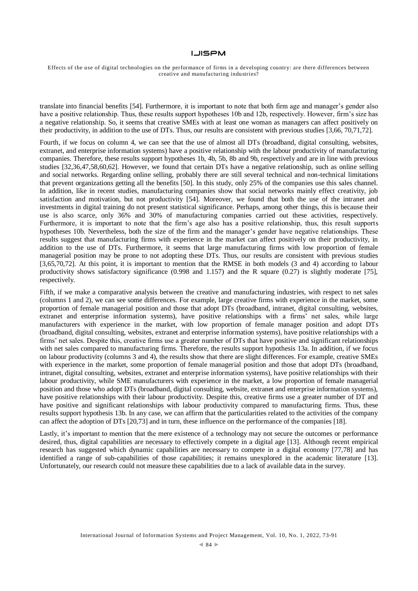Effects of the use of digital technologies on the performance of firms in a developing country: are there differences between creative and manufacturing industries?

translate into financial benefits [54]. Furthermore, it is important to note that both firm age and manager's gender also have a positive relationship. Thus, these results support hypotheses 10b and 12b, respectively. However, firm's size has a negative relationship. So, it seems that creative SMEs with at least one woman as managers can affect positively on their productivity, in addition to the use of DTs. Thus, our results are consistent with previous studies [3,66, 70,71,72].

Fourth, if we focus on column 4, we can see that the use of almost all DTs (broadband, digital consulting, websites, extranet, and enterprise information systems) have a positive relationship with the labour productivity of manufacturing companies. Therefore, these results support hypotheses 1b, 4b, 5b, 8b and 9b, respectively and are in line with previous studies [32,36,47,58,60,62]. However, we found that certain DTs have a negative relationship, such as online selling and social networks. Regarding online selling, probably there are still several technical and non-technical limitations that prevent organizations getting all the benefits [50]. In this study, only 25% of the companies use this sales channel. In addition, like in recent studies, manufacturing companies show that social networks mainly effect creativity, job satisfaction and motivation, but not productivity [54]. Moreover, we found that both the use of the intranet and investments in digital training do not present statistical significance. Perhaps, among other things, this is because their use is also scarce, only 36% and 30% of manufacturing companies carried out these activities, respectively. Furthermore, it is important to note that the firm's age also has a positive relationship, thus, this result supports hypotheses 10b. Nevertheless, both the size of the firm and the manager's gender have negative relationships. These results suggest that manufacturing firms with experience in the market can affect positively on their productivity, in addition to the use of DTs. Furthermore, it seems that large manufacturing firms with low proportion of female managerial position may be prone to not adopting these DTs. Thus, our results are consistent with previous studies [3,65,70,72]. At this point, it is important to mention that the RMSE in both models (3 and 4) according to labour productivity shows satisfactory significance (0.998 and 1.157) and the R square (0.27) is slightly moderate [75], respectively.

Fifth, if we make a comparative analysis between the creative and manufacturing industries, with respect to net sales (columns 1 and 2), we can see some differences. For example, large creative firms with experience in the market, some proportion of female managerial position and those that adopt DTs (broadband, intranet, digital consulting, websites, extranet and enterprise information systems), have positive relationships with a firms' net sales, while large manufacturers with experience in the market, with low proportion of female manager position and adopt DTs (broadband, digital consulting, websites, extranet and enterprise information systems), have positive relationships with a firms' net sales. Despite this, creative firms use a greater number of DTs that have positive and significant relationships with net sales compared to manufacturing firms. Therefore, the results support hypothesis 13a. In addition, if we focus on labour productivity (columns 3 and 4), the results show that there are slight differences. For example, creative SMEs with experience in the market, some proportion of female managerial position and those that adopt DTs (broadband, intranet, digital consulting, websites, extranet and enterprise information systems), have positive relationships with their labour productivity, while SME manufacturers with experience in the market, a low proportion of female managerial position and those who adopt DTs (broadband, digital consulting, website, extranet and enterprise information systems), have positive relationships with their labour productivity. Despite this, creative firms use a greater number of DT and have positive and significant relationships with labour productivity compared to manufacturing firms. Thus, these results support hypothesis 13b. In any case, we can affirm that the particularities related to the activities of the company can affect the adoption of DTs [20,73] and in turn, these influence on the performance of the companies [18].

Lastly, it's important to mention that the mere existence of a technology may not secure the outcomes or performance desired, thus, digital capabilities are necessary to effectively compete in a digital age [13]. Although recent empirical research has suggested which dynamic capabilities are necessary to compete in a digital economy [77,78] and has identified a range of sub-capabilities of those capabilities; it remains unexplored in the academic literature [13]. Unfortunately, our research could not measure these capabilities due to a lack of available data in the survey.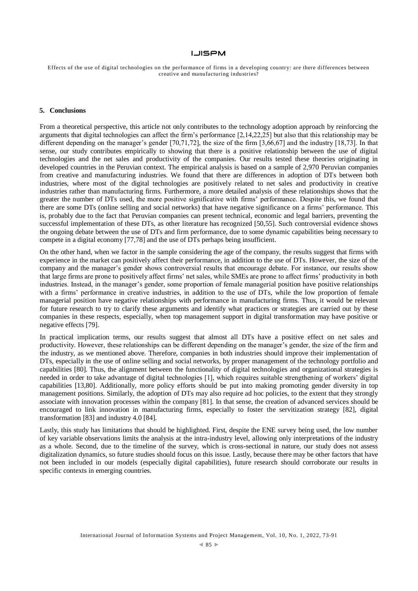Effects of the use of digital technologies on the performance of firms in a developing country: are there differences between creative and manufacturing industries?

#### **5. Conclusions**

From a theoretical perspective, this article not only contributes to the technology adoption approach by reinforcing the arguments that digital technologies can affect the firm's performance [2,14,22,25] but also that this relationship may be different depending on the manager's gender [70,71,72], the size of the firm [3,66,67] and the industry [18,73]. In that sense, our study contributes empirically to showing that there is a positive relationship between the use of digital technologies and the net sales and productivity of the companies. Our results tested these theories originating in developed countries in the Peruvian context. The empirical analysis is based on a sample of 2,970 Peruvian companies from creative and manufacturing industries. We found that there are differences in adoption of DTs between both industries, where most of the digital technologies are positively related to net sales and productivity in creative industries rather than manufacturing firms. Furthermore, a more detailed analysis of these relationships shows that the greater the number of DTs used, the more positive significative with firms' performance. Despite this, we found that there are some DTs (online selling and social networks) that have negative significance on a firms' performance. This is, probably due to the fact that Peruvian companies can present technical, economic and legal barriers, preventing the successful implementation of these DTs, as other literature has recognized [50,55]. Such controversial evidence shows the ongoing debate between the use of DTs and firm performance, due to some dynamic capabilities being necessary to compete in a digital economy [77,78] and the use of DTs perhaps being insufficient.

On the other hand, when we factor in the sample considering the age of the company, the results suggest that firms with experience in the market can positively affect their performance, in addition to the use of DTs. However, the size of the company and the manager's gender shows controversial results that encourage debate. For instance, our results show that large firms are prone to positively affect firms' net sales, while SMEs are prone to affect firms' productivity in both industries. Instead, in the manager's gender, some proportion of female managerial position have positive relationships with a firms' performance in creative industries, in addition to the use of DTs, while the low proportion of female managerial position have negative relationships with performance in manufacturing firms. Thus, it would be relevant for future research to try to clarify these arguments and identify what practices or strategies are carried out by these companies in these respects, especially, when top management support in digital transformation may have positive or negative effects [79].

In practical implication terms, our results suggest that almost all DTs have a positive effect on net sales and productivity. However, these relationships can be different depending on the manager's gender, the size of the firm and the industry, as we mentioned above. Therefore, companies in both industries should improve their implementation of DTs, especially in the use of online selling and social networks, by proper management of the technology portfolio and capabilities [80]. Thus, the alignment between the functionality of digital technologies and organizational strategies is needed in order to take advantage of digital technologies [1], which requires suitable strengthening of workers' digital capabilities [13,80]. Additionally, more policy efforts should be put into making promoting gender diversity in top management positions. Similarly, the adoption of DTs may also require ad hoc policies, to the extent that they strongly associate with innovation processes within the company [81]. In that sense, the creation of advanced services should be encouraged to link innovation in manufacturing firms, especially to foster the servitization strategy [82], digital transformation [83] and industry 4.0 [84].

Lastly, this study has limitations that should be highlighted. First, despite the ENE survey being used, the low number of key variable observations limits the analysis at the intra-industry level, allowing only interpretations of the industry as a whole. Second, due to the timeline of the survey, which is cross-sectional in nature, our study does not assess digitalization dynamics, so future studies should focus on this issue. Lastly, because there may be other factors that have not been included in our models (especially digital capabilities), future research should corroborate our results in specific contexts in emerging countries.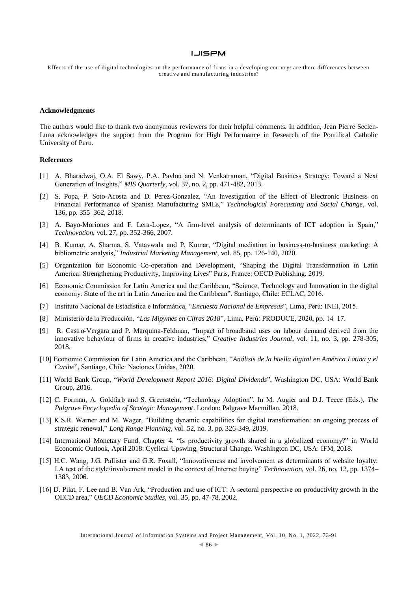Effects of the use of digital technologies on the performance of firms in a developing country: are there differences between creative and manufacturing industries?

#### **Acknowledgments**

The authors would like to thank two anonymous reviewers for their helpful comments. In addition, Jean Pierre Seclen-Luna acknowledges the support from the Program for High Performance in Research of the Pontifical Catholic University of Peru.

#### **References**

- [1] A. Bharadwaj, O.A. El Sawy, P.A. Pavlou and N. Venkatraman, "Digital Business Strategy: Toward a Next Generation of Insights," *MIS Quarterly*, vol. 37, no. 2, pp. 471-482, 2013.
- [2] S. Popa, P. Soto-Acosta and D. Perez-Gonzalez, "An Investigation of the Effect of Electronic Business on Financial Performance of Spanish Manufacturing SMEs," *Technological Forecasting and Social Change*, vol. 136, pp. 355–362, 2018.
- [3] A. Bayo-Moriones and F. Lera-Lopez, "A firm-level analysis of determinants of ICT adoption in Spain," *Technovation*, vol. 27, pp. 352-366, 2007.
- [4] B. Kumar, A. Sharma, S. Vatavwala and P. Kumar, "Digital mediation in business-to-business marketing: A bibliometric analysis," *Industrial Marketing Management*, vol. 85, pp. 126-140, 2020.
- [5] Organization for Economic Co-operation and Development, "Shaping the Digital Transformation in Latin America: Strengthening Productivity, Improving Lives" Paris, France: OECD Publishing, 2019.
- [6] Economic Commission for Latin America and the Caribbean, "Science, Technology and Innovation in the digital economy. State of the art in Latin America and the Caribbean". Santiago, Chile: ECLAC, 2016.
- [7] Instituto Nacional de Estadística e Informática, "*Encuesta Nacional de Empresas*", Lima, Perú: INEI, 2015.
- [8] Ministerio de la Producción, "*Las Mipymes en Cifras 2018*", Lima, Perú: PRODUCE, 2020, pp. 14–17.
- [9] R. Castro-Vergara and P. Marquina-Feldman, "Impact of broadband uses on labour demand derived from the innovative behaviour of firms in creative industries," *Creative Industries Journal*, vol. 11, no. 3, pp. 278-305, 2018.
- [10] Economic Commission for Latin America and the Caribbean, "*Análisis de la huella digital en América Latina y el Caribe*", Santiago, Chile: Naciones Unidas, 2020.
- [11] World Bank Group, "*World Development Report 2016: Digital Dividends*", Washington DC, USA: World Bank Group, 2016.
- [12] C. Forman, A. Goldfarb and S. Greenstein, "Technology Adoption". In M. Augier and D.J. Teece (Eds.), *The Palgrave Encyclopedia of Strategic Management*. London: Palgrave Macmillan, 2018.
- [13] K.S.R. Warner and M. Wager, "Building dynamic capabilities for digital transformation: an ongoing process of strategic renewal," *Long Range Planning*, vol. 52, no. 3, pp. 326-349, 2019.
- [14] International Monetary Fund, Chapter 4. "Is productivity growth shared in a globalized economy?" in World Economic Outlook, April 2018: Cyclical Upswing, Structural Change. Washington DC, USA: IFM, 2018.
- [15] H.C. Wang, J.G. Pallister and G.R. Foxall, "Innovativeness and involvement as determinants of website loyalty: I.A test of the style/involvement model in the context of Internet buying" *Technovation*, vol. 26, no. 12, pp. 1374– 1383, 2006.
- [16] D. Pilat, F. Lee and B. Van Ark, "Production and use of ICT: A sectoral perspective on productivity growth in the OECD area," *OECD Economic Studies,* vol. 35, pp. 47-78, 2002.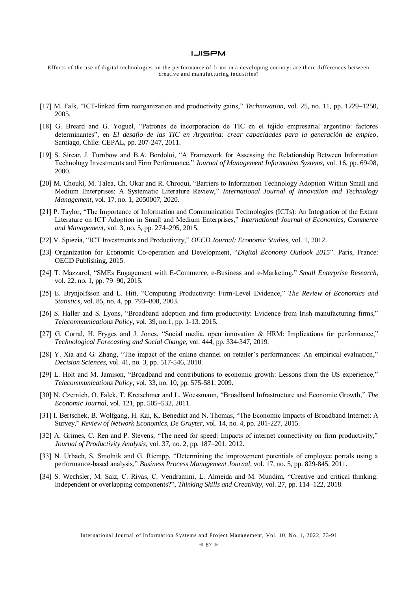- [17] M. Falk, "ICT-linked firm reorganization and productivity gains," *Technovation*, vol. 25, no. 11, pp. 1229–1250, 2005.
- [18] G. Breard and G. Yoguel, "Patrones de incorporación de TIC en el tejido empresarial argentino: factores determinantes", en *El desafío de las TIC en Argentina: crear capacidades para la generación de empleo*. Santiago, Chile: CEPAL, pp. 207-247, 2011.
- [19] S. Sircar, J. Turnbow and B.A. Bordoloi, "A Framework for Assessing the Relationship Between Information Technology Investments and Firm Performance," *Journal of Management Information Systems*, vol. 16, pp. 69-98, 2000.
- [20] M. Chouki, M. Talea, Ch. Okar and R. Chroqui, "Barriers to Information Technology Adoption Within Small and Medium Enterprises: A Systematic Literature Review," *International Journal of Innovation and Technology Management*, vol. 17, no. 1, 2050007, 2020.
- [21] P. Taylor, "The Importance of Information and Communication Technologies (ICTs): An Integration of the Extant Literature on ICT Adoption in Small and Medium Enterprises," *International Journal of Economics, Commerce and Management*, vol. 3, no. 5, pp. 274–295, 2015.
- [22] V. Spiezia, "ICT Investments and Productivity," *OECD Journal: Economic Studies*, vol. 1, 2012.
- [23] Organization for Economic Co-operation and Development, "*Digital Economy Outlook 2015*". Paris, France: OECD Publishing, 2015.
- [24] T. Mazzarol, "SMEs Engagement with E-Commerce, e-Business and e-Marketing," *Small Enterprise Research*, vol. 22, no. 1, pp. 79–90, 2015.
- [25] E. Brynjolfsson and L. Hitt, "Computing Productivity: Firm-Level Evidence," *The Review of Economics and Statistics*, vol. 85, no. 4, pp. 793–808, 2003.
- [26] S. Haller and S. Lyons, "Broadband adoption and firm productivity: Evidence from Irish manufacturing firms," *Telecommunications Policy*, vol. 39, no.1, pp. 1-13, 2015.
- [27] G. Corral, H. Fryges and J. Jones, "Social media, open innovation & HRM: Implications for performance," *Technological Forecasting and Social Change*, vol. 444, pp. 334-347, 2019.
- [28] Y. Xia and G. Zhang, "The impact of the online channel on retailer's performances: An empirical evaluation," *Decision Sciences*, vol. 41, no. 3, pp. 517-546, 2010.
- [29] L. Holt and M. Jamison, "Broadband and contributions to economic growth: Lessons from the US experience," *Telecommunications Policy*, vol. 33, no. 10, pp. 575-581, 2009.
- [30] N. Czernich, O. Falck, T. Kretschmer and L. Woessmann, "Broadband Infrastructure and Economic Growth," *The Economic Journal*, vol. 121, pp. 505–532, 2011.
- [31] I. Bertschek, B. Wolfgang, H. Kai, K. Benedikt and N. Thomas, "The Economic Impacts of Broadband Internet: A Survey," *Review of Network Economics, De Gruyter*, vol. 14, no. 4, pp. 201-227, 2015.
- [32] A. Grimes, C. Ren and P. Stevens, "The need for speed: Impacts of internet connectivity on firm productivity," *Journal of Productivity Analysis*, vol. 37, no. 2, pp. 187–201, 2012.
- [33] N. Urbach, S. Smolnik and G. Riempp, "Determining the improvement potentials of employee portals using a performance-based analysis," *Business Process Management Journal*, vol. 17, no. 5, pp. 829-845, 2011.
- [34] S. Wechsler, M. Saiz, C. Rivas, C. Vendramini, L. Almeida and M. Mundim, "Creative and critical thinking: Independent or overlapping components?", *Thinking Skills and Creativity*, vol. 27, pp. 114–122, 2018.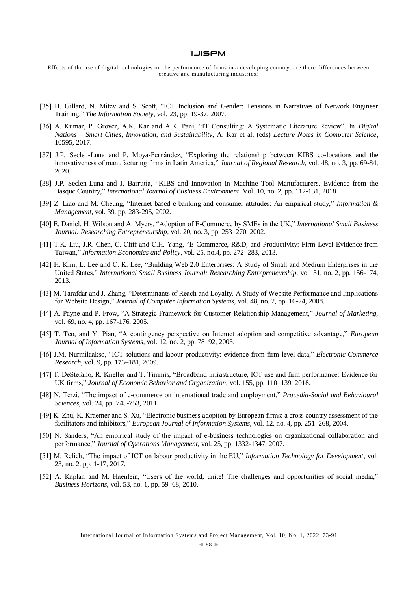- [35] H. Gillard, N. Mitev and S. Scott, "ICT Inclusion and Gender: Tensions in Narratives of Network Engineer Training," *The Information Society*, vol. 23, pp. 19-37, 2007.
- [36] A. Kumar, P. Grover, A.K. Kar and A.K. Pani, "IT Consulting: A Systematic Literature Review". In *Digital Nations – Smart Cities, Innovation, and Sustainability*, A. Kar et al. (eds) *Lecture Notes in Computer Science*, 10595, 2017.
- [37] J.P. Seclen-Luna and P. Moya-Fernández, "Exploring the relationship between KIBS co-locations and the innovativeness of manufacturing firms in Latin America," *Journal of Regional Research*, vol. 48, no. 3, pp. 69-84, 2020.
- [38] J.P. Seclen-Luna and J. Barrutia, "KIBS and Innovation in Machine Tool Manufacturers. Evidence from the Basque Country," *International Journal of Business Environment*. Vol. 10, no. 2, pp. 112-131, 2018.
- [39] Z. Liao and M. Cheung, "Internet-based e-banking and consumer attitudes: An empirical study," *Information & Management*, vol. 39, pp. 283-295, 2002.
- [40] E. Daniel, H. Wilson and A. Myers, "Adoption of E-Commerce by SMEs in the UK," *International Small Business Journal: Researching Entrepreneurship*, vol. 20, no. 3, pp. 253–270, 2002.
- [41] T.K. Liu, J.R. Chen, C. Cliff and C.H. Yang, "E-Commerce, R&D, and Productivity: Firm-Level Evidence from Taiwan," *Information Economics and Policy*, vol. 25, no.4, pp. 272–283, 2013.
- [42] H. Kim, L. Lee and C. K. Lee, "Building Web 2.0 Enterprises: A Study of Small and Medium Enterprises in the United States," *International Small Business Journal: Researching Entrepreneurship*, vol. 31, no. 2, pp. 156-174, 2013.
- [43] M. Tarafdar and J. Zhang, "Determinants of Reach and Loyalty. A Study of Website Performance and Implications for Website Design," *Journal of Computer Information Systems*, vol. 48, no. 2, pp. 16-24, 2008.
- [44] A. Payne and P. Frow, "A Strategic Framework for Customer Relationship Management," *Journal of Marketing*, vol. 69, no. 4, pp. 167-176, 2005.
- [45] T. Teo, and Y. Pian, "A contingency perspective on Internet adoption and competitive advantage," *European Journal of Information Systems*, vol. 12, no. 2, pp. 78–92, 2003.
- [46] J.M. Nurmilaakso, "ICT solutions and labour productivity: evidence from firm-level data," *Electronic Commerce Research*, vol. 9, pp. 173–181, 2009.
- [47] T. DeStefano, R. Kneller and T. Timmis, "Broadband infrastructure, ICT use and firm performance: Evidence for UK firms," *Journal of Economic Behavior and Organization*, vol. 155, pp. 110–139, 2018.
- [48] N. Terzi, "The impact of e-commerce on international trade and employment," *Procedia-Social and Behavioural Sciences*, vol. 24, pp. 745-753, 2011.
- [49] K. Zhu, K. Kraemer and S. Xu, "Electronic business adoption by European firms: a cross country assessment of the facilitators and inhibitors," *European Journal of Information Systems*, vol. 12, no. 4, pp. 251–268, 2004.
- [50] N. Sanders, "An empirical study of the impact of e-business technologies on organizational collaboration and performance," *Journal of Operations Management*, vol. 25, pp. 1332-1347, 2007.
- [51] M. Relich, "The impact of ICT on labour productivity in the EU," *Information Technology for Development*, vol. 23, no. 2, pp. 1-17, 2017.
- [52] A. Kaplan and M. Haenlein, "Users of the world, unite! The challenges and opportunities of social media," *Business Horizons*, vol. 53, no. 1, pp. 59–68, 2010.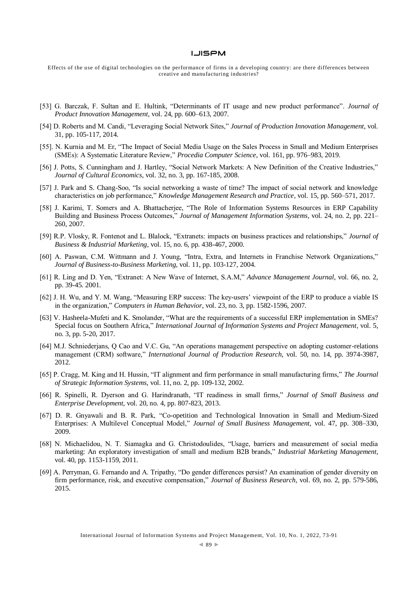- [53] G. Barczak, F. Sultan and E. Hultink, "Determinants of IT usage and new product performance". *Journal of Product Innovation Management*, vol. 24, pp. 600–613, 2007.
- [54] D. Roberts and M. Candi, "Leveraging Social Network Sites," *Journal of Production Innovation Management*, vol. 31, pp. 105-117, 2014.
- [55]. N. Kurnia and M. Er, "The Impact of Social Media Usage on the Sales Process in Small and Medium Enterprises (SMEs): A Systematic Literature Review," *Procedia Computer Science*, vol. 161, pp. 976–983, 2019.
- [56] J. Potts, S. Cunningham and J. Hartley, "Social Network Markets: A New Definition of the Creative Industries," *Journal of Cultural Economics*, vol. 32, no. 3, pp. 167-185, 2008.
- [57] J. Park and S. Chang-Soo, "Is social networking a waste of time? The impact of social network and knowledge characteristics on job performance," *Knowledge Management Research and Practice*, vol. 15, pp. 560–571, 2017.
- [58] J. Karimi, T. Somers and A. Bhattacherjee, "The Role of Information Systems Resources in ERP Capability Building and Business Process Outcomes," *Journal of Management Information Systems*, vol. 24, no. 2, pp. 221– 260, 2007.
- [59] R.P. Vlosky, R. Fontenot and L. Blalock, "Extranets: impacts on business practices and relationships," *Journal of Business & Industrial Marketing*, vol. 15, no. 6, pp. 438-467, 2000.
- [60] A. Paswan, C.M. Wittmann and J. Young, "Intra, Extra, and Internets in Franchise Network Organizations," *Journal of Business-to-Business Marketing*, vol. 11, pp. 103-127, 2004.
- [61] R. Ling and D. Yen, "Extranet: A New Wave of Internet, S.A.M," *Advance Management Journal*, vol. 66, no. 2, pp. 39-45. 2001.
- [62] J. H. Wu, and Y. M. Wang, "Measuring ERP success: The key-users' viewpoint of the ERP to produce a viable IS in the organization," *Computers in Human Behavior*, vol. 23, no. 3, pp. 1582-1596, 2007.
- [63] V. Hasheela-Mufeti and K. Smolander, "What are the requirements of a successful ERP implementation in SMEs? Special focus on Southern Africa," *International Journal of Information Systems and Project Management*, vol. 5, no. 3, pp. 5-20, 2017.
- [64] M.J. Schniederjans, Q Cao and V.C. Gu, "An operations management perspective on adopting customer-relations management (CRM) software," *International Journal of Production Research*, vol. 50, no. 14, pp. 3974-3987, 2012.
- [65] P. Cragg, M. King and H. Hussin, "IT alignment and firm performance in small manufacturing firms," *The Journal of Strategic Information Systems*, vol. 11, no. 2, pp. 109-132, 2002.
- [66] R. Spinelli, R. Dyerson and G. Harindranath, "IT readiness in small firms," *Journal of Small Business and Enterprise Development*, vol. 20, no. 4, pp. 807-823, 2013.
- [67] D. R. Gnyawali and B. R. Park, "Co-opetition and Technological Innovation in Small and Medium-Sized Enterprises: A Multilevel Conceptual Model," *Journal of Small Business Management,* vol. 47, pp. 308–330, 2009.
- [68] N. Michaelidou, N. T. Siamagka and G. Christodoulides, "Usage, barriers and measurement of social media marketing: An exploratory investigation of small and medium B2B brands," *Industrial Marketing Management*, vol. 40, pp. 1153-1159, 2011.
- [69] A. Perryman, G. Fernando and A. Tripathy, "Do gender differences persist? An examination of gender diversity on firm performance, risk, and executive compensation," *Journal of Business Research*, vol. 69, no. 2, pp. 579-586, 2015.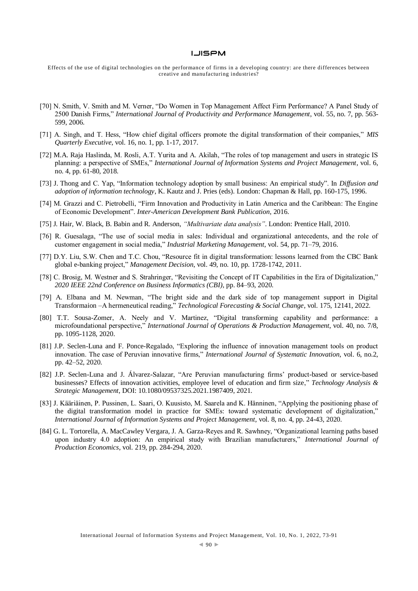- [70] N. Smith, V. Smith and M. Verner, "Do Women in Top Management Affect Firm Performance? A Panel Study of 2500 Danish Firms," *International Journal of Productivity and Performance Management*, vol. 55, no. 7, pp. 563- 599, 2006.
- [71] A. Singh, and T. Hess, "How chief digital officers promote the digital transformation of their companies," *MIS Quarterly Executive*, vol. 16, no. 1, pp. 1-17, 2017.
- [72] M.A. Raja Haslinda, M. Rosli, A.T. Yurita and A. Akilah, "The roles of top management and users in strategic IS planning: a perspective of SMEs," *International Journal of Information Systems and Project Management*, vol. 6, no. 4, pp. 61-80, 2018.
- [73] J. Thong and C. Yap, "Information technology adoption by small business: An empirical study". In *Diffusion and adoption of information technology*, K. Kautz and J. Pries (eds). London: Chapman & Hall, pp. 160-175, 1996.
- [74] M. Grazzi and C. Pietrobelli, "Firm Innovation and Productivity in Latin America and the Caribbean: The Engine of Economic Development". *Inter-American Development Bank Publication*, 2016.
- [75] J. Hair, W. Black, B. Babin and R. Anderson, *"Multivariate data analysis"*. London: Prentice Hall, 2010.
- [76] R. Guesalaga, "The use of social media in sales: Individual and organizational antecedents, and the role of customer engagement in social media," *Industrial Marketing Management*, vol. 54, pp. 71–79, 2016.
- [77] D.Y. Liu, S.W. Chen and T.C. Chou, "Resource fit in digital transformation: lessons learned from the CBC Bank global e-banking project," *Management Decision*, vol. 49, no. 10, pp. 1728-1742, 2011.
- [78] C. Brosig, M. Westner and S. Strahringer, "Revisiting the Concept of IT Capabilities in the Era of Digitalization," *2020 IEEE 22nd Conference on Business Informatics (CBI)*, pp. 84–93, 2020.
- [79] A. Elbana and M. Newman, "The bright side and the dark side of top management support in Digital Transformaion –A hermeneutical reading," *Technological Forecasting & Social Change*, vol. 175, 12141, 2022.
- [80] T.T. Sousa-Zomer, A. Neely and V. Martinez, "Digital transforming capability and performance: a microfoundational perspective," *International Journal of Operations & Production Management*, vol. 40, no. 7/8, pp. 1095-1128, 2020.
- [81] J.P. Seclen-Luna and F. Ponce-Regalado, "Exploring the influence of innovation management tools on product innovation. The case of Peruvian innovative firms," *International Journal of Systematic Innovation*, vol. 6, no.2, pp. 42–52, 2020.
- [82] J.P. Seclen-Luna and J. Álvarez-Salazar, "Are Peruvian manufacturing firms' product-based or service-based businesses? Effects of innovation activities, employee level of education and firm size," *Technology Analysis & Strategic Management*, DOI: 10.1080/09537325.2021.1987409, 2021.
- [83] J. Kääriäinen, P. Pussinen, L. Saari, O. Kuusisto, M. Saarela and K. Hänninen, "Applying the positioning phase of the digital transformation model in practice for SMEs: toward systematic development of digitalization," *International Journal of Information Systems and Project Management*, vol. 8, no. 4, pp. 24-43, 2020.
- [84] G. L. Tortorella, A. MacCawley Vergara, J. A. Garza-Reyes and R. Sawhney, "Organizational learning paths based upon industry 4.0 adoption: An empirical study with Brazilian manufacturers," *International Journal of Production Economics*, vol. 219, pp. 284-294, 2020.